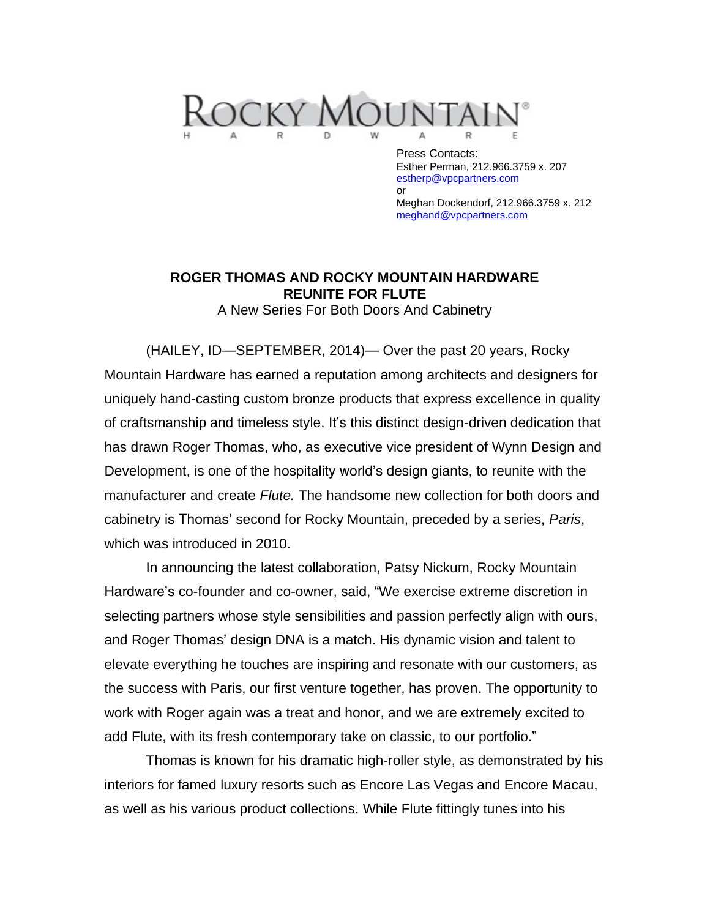

Press Contacts: Esther Perman, 212.966.3759 x. 207 [estherp@vpcpartners.com](mailto:estherp@vpcpartners.com) or Meghan Dockendorf, 212.966.3759 x. 212 [meghand@vpcpartners.com](mailto:meghand@vpcpartners.com) 

## **ROGER THOMAS AND ROCKY MOUNTAIN HARDWARE REUNITE FOR FLUTE**

A New Series For Both Doors And Cabinetry

(HAILEY, ID—SEPTEMBER, 2014)— Over the past 20 years, Rocky Mountain Hardware has earned a reputation among architects and designers for uniquely hand-casting custom bronze products that express excellence in quality of craftsmanship and timeless style. It's this distinct design-driven dedication that has drawn Roger Thomas, who, as executive vice president of Wynn Design and Development, is one of the hospitality world's design giants, to reunite with the manufacturer and create *Flute.* The handsome new collection for both doors and cabinetry is Thomas' second for Rocky Mountain, preceded by a series, *Paris*, which was introduced in 2010.

In announcing the latest collaboration, Patsy Nickum, Rocky Mountain Hardware's co-founder and co-owner, said, "We exercise extreme discretion in selecting partners whose style sensibilities and passion perfectly align with ours, and Roger Thomas' design DNA is a match. His dynamic vision and talent to elevate everything he touches are inspiring and resonate with our customers, as the success with Paris, our first venture together, has proven. The opportunity to work with Roger again was a treat and honor, and we are extremely excited to add Flute, with its fresh contemporary take on classic, to our portfolio."

Thomas is known for his dramatic high-roller style, as demonstrated by his interiors for famed luxury resorts such as Encore Las Vegas and Encore Macau, as well as his various product collections. While Flute fittingly tunes into his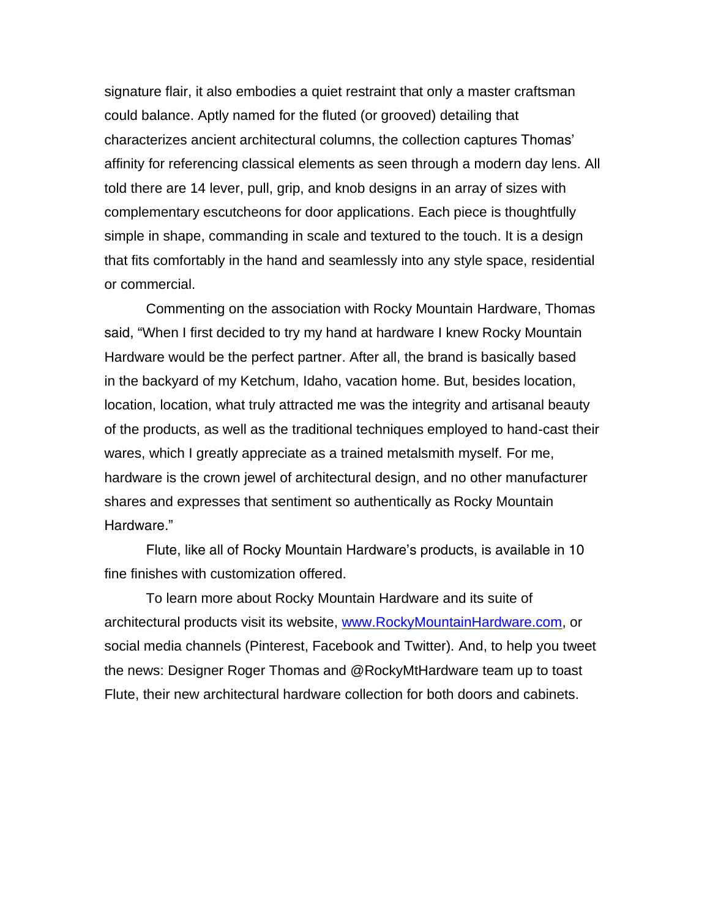signature flair, it also embodies a quiet restraint that only a master craftsman could balance. Aptly named for the fluted (or grooved) detailing that characterizes ancient architectural columns, the collection captures Thomas' affinity for referencing classical elements as seen through a modern day lens. All told there are 14 lever, pull, grip, and knob designs in an array of sizes with complementary escutcheons for door applications. Each piece is thoughtfully simple in shape, commanding in scale and textured to the touch. It is a design that fits comfortably in the hand and seamlessly into any style space, residential or commercial.

Commenting on the association with Rocky Mountain Hardware, Thomas said, "When I first decided to try my hand at hardware I knew Rocky Mountain Hardware would be the perfect partner. After all, the brand is basically based in the backyard of my Ketchum, Idaho, vacation home. But, besides location, location, location, what truly attracted me was the integrity and artisanal beauty of the products, as well as the traditional techniques employed to hand-cast their wares, which I greatly appreciate as a trained metalsmith myself. For me, hardware is the crown jewel of architectural design, and no other manufacturer shares and expresses that sentiment so authentically as Rocky Mountain Hardware."

Flute, like all of Rocky Mountain Hardware's products, is available in 10 fine finishes with customization offered.

To learn more about Rocky Mountain Hardware and its suite of architectural products visit its website, [www.RockyMountainHardware.com,](http://www.rockymountainhardware.com/) or social media channels (Pinterest, Facebook and Twitter). And, to help you tweet the news: Designer Roger Thomas and @RockyMtHardware team up to toast Flute, their new architectural hardware collection for both doors and cabinets.